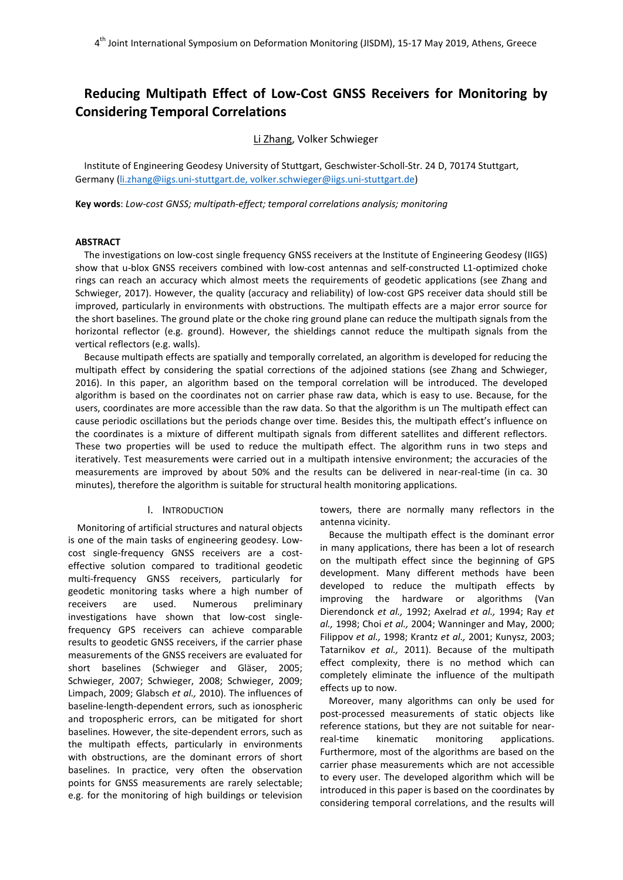# **Reducing Multipath Effect of Low-Cost GNSS Receivers for Monitoring by Considering Temporal Correlations**

Li Zhang, Volker Schwieger

Institute of Engineering Geodesy University of Stuttgart, Geschwister-Scholl-Str. 24 D, 70174 Stuttgart, Germany [\(li.zhang@iigs.uni-stuttgart.de,](mailto:li.zhang@iigs.uni-stuttgart.de) [volker.schwieger@iigs.uni-stuttgart.de\)](mailto:volker.schwieger@iigs.uni-stuttgart.de)

**Key words**: *Low-cost GNSS; multipath-effect; temporal correlations analysis; monitoring*

#### **ABSTRACT**

The investigations on low-cost single frequency GNSS receivers at the Institute of Engineering Geodesy (IIGS) show that u-blox GNSS receivers combined with low-cost antennas and self-constructed L1-optimized choke rings can reach an accuracy which almost meets the requirements of geodetic applications (see Zhang and Schwieger, 2017). However, the quality (accuracy and reliability) of low-cost GPS receiver data should still be improved, particularly in environments with obstructions. The multipath effects are a major error source for the short baselines. The ground plate or the choke ring ground plane can reduce the multipath signals from the horizontal reflector (e.g. ground). However, the shieldings cannot reduce the multipath signals from the vertical reflectors (e.g. walls).

Because multipath effects are spatially and temporally correlated, an algorithm is developed for reducing the multipath effect by considering the spatial corrections of the adjoined stations (see Zhang and Schwieger, 2016). In this paper, an algorithm based on the temporal correlation will be introduced. The developed algorithm is based on the coordinates not on carrier phase raw data, which is easy to use. Because, for the users, coordinates are more accessible than the raw data. So that the algorithm is un The multipath effect can cause periodic oscillations but the periods change over time. Besides this, the multipath effect's influence on the coordinates is a mixture of different multipath signals from different satellites and different reflectors. These two properties will be used to reduce the multipath effect. The algorithm runs in two steps and iteratively. Test measurements were carried out in a multipath intensive environment; the accuracies of the measurements are improved by about 50% and the results can be delivered in near-real-time (in ca. 30 minutes), therefore the algorithm is suitable for structural health monitoring applications.

## I. INTRODUCTION

Monitoring of artificial structures and natural objects is one of the main tasks of engineering geodesy. Lowcost single-frequency GNSS receivers are a costeffective solution compared to traditional geodetic multi-frequency GNSS receivers, particularly for geodetic monitoring tasks where a high number of receivers are used. Numerous preliminary investigations have shown that low-cost singlefrequency GPS receivers can achieve comparable results to geodetic GNSS receivers, if the carrier phase measurements of the GNSS receivers are evaluated for short baselines (Schwieger and Gläser, 2005; Schwieger, 2007; Schwieger, 2008; Schwieger, 2009; Limpach, 2009; Glabsch *et al.,* 2010). The influences of baseline-length-dependent errors, such as ionospheric and tropospheric errors, can be mitigated for short baselines. However, the site-dependent errors, such as the multipath effects, particularly in environments with obstructions, are the dominant errors of short baselines. In practice, very often the observation points for GNSS measurements are rarely selectable; e.g. for the monitoring of high buildings or television towers, there are normally many reflectors in the antenna vicinity.

Because the multipath effect is the dominant error in many applications, there has been a lot of research on the multipath effect since the beginning of GPS development. Many different methods have been developed to reduce the multipath effects by improving the hardware or algorithms (Van Dierendonck *et al.,* 1992; Axelrad *et al.,* 1994; Ray *et al.,* 1998; Choi *et al.,* 2004; Wanninger and May, 2000; Filippov *et al.,* 1998; Krantz *et al.,* 2001; Kunysz, 2003; Tatarnikov *et al.,* 2011). Because of the multipath effect complexity, there is no method which can completely eliminate the influence of the multipath effects up to now.

Moreover, many algorithms can only be used for post-processed measurements of static objects like reference stations, but they are not suitable for nearreal-time kinematic monitoring applications. Furthermore, most of the algorithms are based on the carrier phase measurements which are not accessible to every user. The developed algorithm which will be introduced in this paper is based on the coordinates by considering temporal correlations, and the results will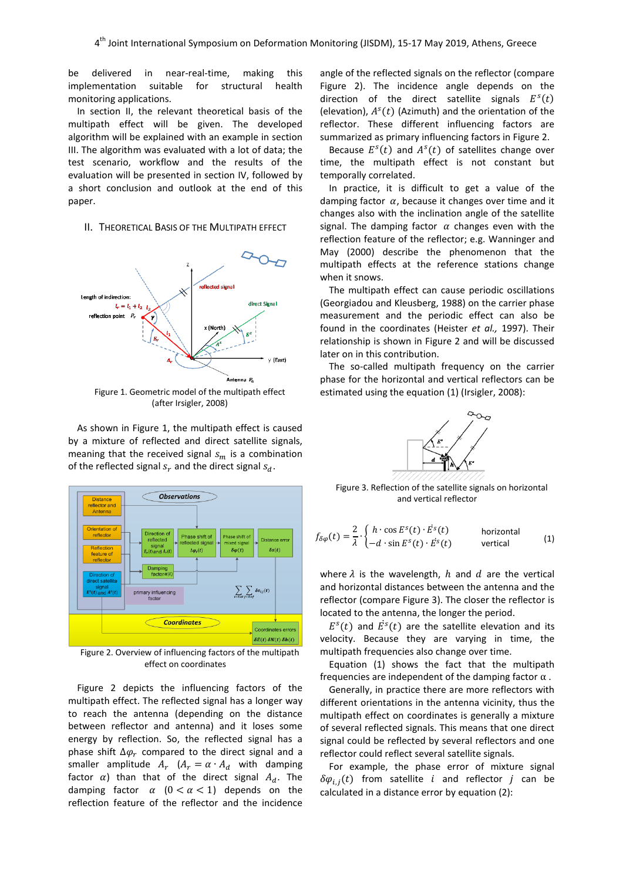be delivered in near-real-time, making this implementation suitable for structural health monitoring applications.

In section II, the relevant theoretical basis of the multipath effect will be given. The developed algorithm will be explained with an example in section III. The algorithm was evaluated with a lot of data; the test scenario, workflow and the results of the evaluation will be presented in section IV, followed by a short conclusion and outlook at the end of this paper.

#### II. THEORETICAL BASIS OF THE MULTIPATH EFFECT



(after Irsigler, 2008)

As shown in Figure 1, the multipath effect is caused by a mixture of reflected and direct satellite signals, meaning that the received signal  $s_m$  is a combination of the reflected signal  $s_r$  and the direct signal  $s_d$ .



Figure 2. Overview of influencing factors of the multipath effect on coordinates

Figure 2 depicts the influencing factors of the multipath effect. The reflected signal has a longer way to reach the antenna (depending on the distance between reflector and antenna) and it loses some energy by reflection. So, the reflected signal has a phase shift  $\Delta \varphi_r$  compared to the direct signal and a smaller amplitude  $A_r$   $(A_r = \alpha \cdot A_d$  with damping factor  $\alpha$ ) than that of the direct signal  $A_d$ . The damping factor  $\alpha$  ( $0 < \alpha < 1$ ) depends on the reflection feature of the reflector and the incidence

angle of the reflected signals on the reflector (compare Figure 2). The incidence angle depends on the direction of the direct satellite signals  $E^{s}(t)$ (elevation),  $A^{s}(t)$  (Azimuth) and the orientation of the reflector. These different influencing factors are summarized as primary influencing factors in Figure 2.

Because  $E^{s}(t)$  and  $A^{s}(t)$  of satellites change over time, the multipath effect is not constant but temporally correlated.

In practice, it is difficult to get a value of the damping factor  $\alpha$ , because it changes over time and it changes also with the inclination angle of the satellite signal. The damping factor  $\alpha$  changes even with the reflection feature of the reflector; e.g. Wanninger and May (2000) describe the phenomenon that the multipath effects at the reference stations change when it snows.

The multipath effect can cause periodic oscillations (Georgiadou and Kleusberg, 1988) on the carrier phase measurement and the periodic effect can also be found in the coordinates (Heister *et al.,* 1997). Their relationship is shown in Figure 2 and will be discussed later on in this contribution.

The so-called multipath frequency on the carrier phase for the horizontal and vertical reflectors can be estimated using the equation (1) (Irsigler, 2008):



Figure 3. Reflection of the satellite signals on horizontal and vertical reflector

$$
f_{\delta\varphi}(t) = \frac{2}{\lambda} \cdot \begin{cases} h \cdot \cos E^{s}(t) \cdot \dot{E}^{s}(t) & \text{horizontal} \\ -d \cdot \sin E^{s}(t) \cdot \dot{E}^{s}(t) & \text{vertical} \end{cases}
$$
 (1)

where  $\lambda$  is the wavelength,  $h$  and  $d$  are the vertical and horizontal distances between the antenna and the reflector (compare Figure 3). The closer the reflector is located to the antenna, the longer the period.

 $E^{s}(t)$  and  $E^{s}(t)$  are the satellite elevation and its velocity. Because they are varying in time, the multipath frequencies also change over time.

Equation (1) shows the fact that the multipath frequencies are independent of the damping factor  $\alpha$ .

Generally, in practice there are more reflectors with different orientations in the antenna vicinity, thus the multipath effect on coordinates is generally a mixture of several reflected signals. This means that one direct signal could be reflected by several reflectors and one reflector could reflect several satellite signals.

For example, the phase error of mixture signal  $\delta \varphi_{i,j}(t)$  from satellite i and reflector j can be calculated in a distance error by equation (2):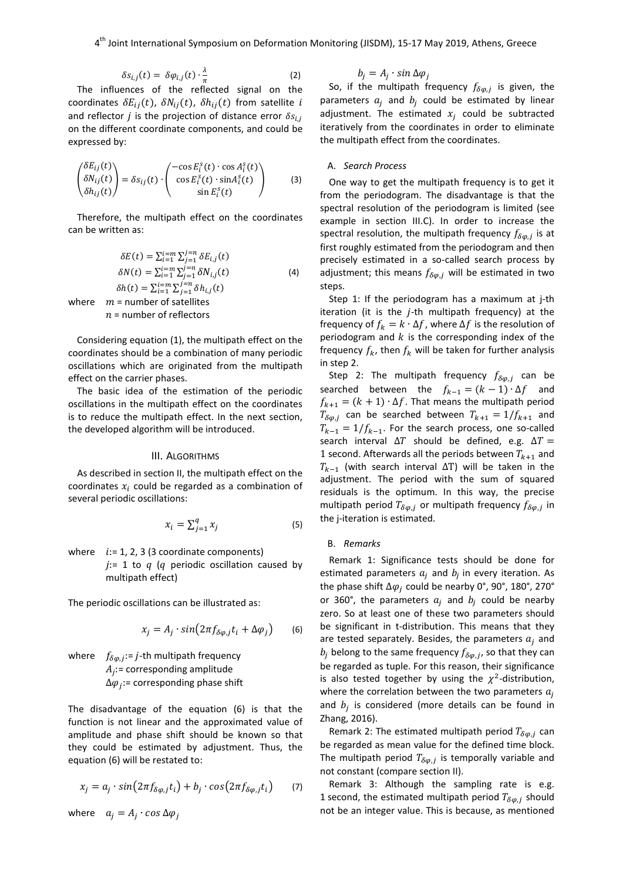$$
\delta s_{i,j}(t) = \delta \varphi_{i,j}(t) \cdot \frac{\lambda}{\pi} \tag{2}
$$

The influences of the reflected signal on the coordinates  $\delta E_{ij}(t)$ ,  $\delta N_{ij}(t)$ ,  $\delta h_{ij}(t)$  from satellite i and reflector *j* is the projection of distance error  $\delta s_{i,j}$ on the different coordinate components, and could be expressed by:

$$
\begin{pmatrix} \delta E_{ij}(t) \\ \delta N_{ij}(t) \\ \delta h_{ij}(t) \end{pmatrix} = \delta s_{ij}(t) \cdot \begin{pmatrix} -\cos E_i^s(t) \cdot \cos A_i^s(t) \\ \cos E_i^s(t) \cdot \sin A_i^s(t) \\ \sin E_i^s(t) \end{pmatrix}
$$
 (3)

Therefore, the multipath effect on the coordinates can be written as:

$$
\delta E(t) = \sum_{i=1}^{i=m} \sum_{j=1}^{n} \delta E_{i,j}(t)
$$
  
\n
$$
\delta N(t) = \sum_{i=1}^{i=m} \sum_{j=1}^{j=n} \delta N_{i,j}(t)
$$
  
\n
$$
\delta h(t) = \sum_{i=1}^{i=m} \sum_{j=1}^{j=n} \delta h_{i,j}(t)
$$
  
\nwhere  $m$  = number of satellites  
\n $n$  = number of reflections

Considering equation (1), the multipath effect on the coordinates should be a combination of many periodic oscillations which are originated from the multipath effect on the carrier phases.

The basic idea of the estimation of the periodic oscillations in the multipath effect on the coordinates is to reduce the multipath effect. In the next section, the developed algorithm will be introduced.

### III. ALGORITHMS

As described in section II, the multipath effect on the coordinates  $x_i$  could be regarded as a combination of several periodic oscillations:

$$
x_i = \sum_{j=1}^q x_j \tag{5}
$$

where  $i := 1, 2, 3$  (3 coordinate components)  $j=1$  to  $q$  ( $q$  periodic oscillation caused by multipath effect)

The periodic oscillations can be illustrated as:

$$
x_j = A_j \cdot \sin(2\pi f_{\delta\varphi,j} t_i + \Delta\varphi_j) \qquad (6)
$$

where  $f_{\delta\varphi,j}:=j$ -th multipath frequency  $A_i$ := corresponding amplitude  $\Delta\varphi_i$ := corresponding phase shift

The disadvantage of the equation (6) is that the function is not linear and the approximated value of amplitude and phase shift should be known so that they could be estimated by adjustment. Thus, the equation (6) will be restated to:

$$
x_j = a_j \cdot \sin(2\pi f_{\delta\varphi,j} t_i) + b_j \cdot \cos(2\pi f_{\delta\varphi,j} t_i) \qquad (7)
$$

where 
$$
a_j = A_j \cdot \cos \Delta \varphi_j
$$

$$
b_j = A_j \cdot \sin \Delta \varphi_j
$$

So, if the multipath frequency  $f_{\delta\varphi,j}$  is given, the parameters  $a_j$  and  $b_j$  could be estimated by linear adjustment. The estimated  $x_i$  could be subtracted iteratively from the coordinates in order to eliminate the multipath effect from the coordinates.

## A. *Search Process*

One way to get the multipath frequency is to get it from the periodogram. The disadvantage is that the spectral resolution of the periodogram is limited (see example in section III.C). In order to increase the spectral resolution, the multipath frequency  $f_{\delta\varphi,j}$  is at first roughly estimated from the periodogram and then precisely estimated in a so-called search process by adjustment; this means  $f_{\delta\varphi,j}$  will be estimated in two steps.

Step 1: If the periodogram has a maximum at j-th iteration (it is the  $j$ -th multipath frequency) at the frequency of  $f_k = k \cdot \Delta f$ , where  $\Delta f$  is the resolution of periodogram and  $k$  is the corresponding index of the frequency  $f_k$ , then  $f_k$  will be taken for further analysis in step 2.

Step 2: The multipath frequency  $f_{\delta\varphi,j}$  can be searched between the  $f_{k-1} = (k-1) \cdot \Delta f$  and  $f_{k+1} = (k + 1) \cdot \Delta f$ . That means the multipath period  $T_{\delta\varphi, j}$  can be searched between  $T_{k+1} = 1/f_{k+1}$  and  $T_{k-1} = 1/f_{k-1}$ . For the search process, one so-called search interval  $\Delta T$  should be defined, e.g.  $\Delta T =$ 1 second. Afterwards all the periods between  $T_{k+1}$  and  $T_{k-1}$  (with search interval  $\Delta T$ ) will be taken in the adjustment. The period with the sum of squared residuals is the optimum. In this way, the precise multipath period  $T_{\delta\varphi, j}$  or multipath frequency  $f_{\delta\varphi, j}$  in the j-iteration is estimated.

#### B. *Remarks*

Remark 1: Significance tests should be done for estimated parameters  $a_i$  and  $b_i$  in every iteration. As the phase shift  $\Delta\varphi_j$  could be nearby 0°, 90°, 180°, 270° or 360°, the parameters  $a_i$  and  $b_i$  could be nearby zero. So at least one of these two parameters should be significant in t-distribution. This means that they are tested separately. Besides, the parameters  $a_i$  and  $b_j$  belong to the same frequency  $f_{\delta\varphi,j}$ , so that they can be regarded as tuple. For this reason, their significance is also tested together by using the  $\chi^2$ -distribution, where the correlation between the two parameters  $a_i$ and  $b_i$  is considered (more details can be found in Zhang, 2016).

Remark 2: The estimated multipath period  $T_{\delta\varphi,j}$  can be regarded as mean value for the defined time block. The multipath period  $T_{\delta\varphi,j}$  is temporally variable and not constant (compare section II).

Remark 3: Although the sampling rate is e.g. 1 second, the estimated multipath period  $T_{\delta\varphi,j}$  should not be an integer value. This is because, as mentioned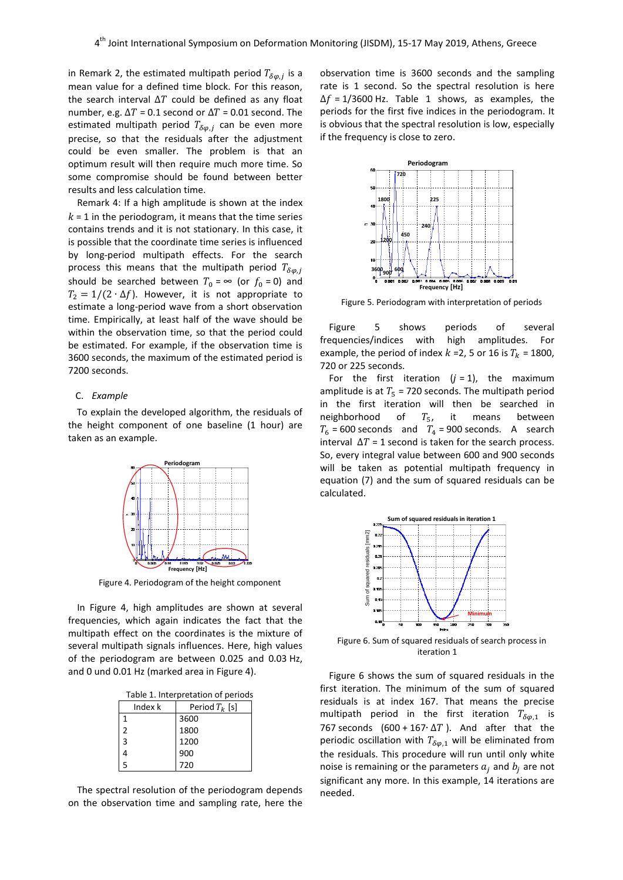in Remark 2, the estimated multipath period  $T_{\delta\varphi,i}$  is a mean value for a defined time block. For this reason, the search interval  $\Delta T$  could be defined as any float number, e.g.  $\Delta T$  = 0.1 second or  $\Delta T$  = 0.01 second. The estimated multipath period  $T_{\delta\varphi,i}$  can be even more precise, so that the residuals after the adjustment could be even smaller. The problem is that an optimum result will then require much more time. So some compromise should be found between better results and less calculation time.

Remark 4: If a high amplitude is shown at the index  $k = 1$  in the periodogram, it means that the time series contains trends and it is not stationary. In this case, it is possible that the coordinate time series is influenced by long-period multipath effects. For the search process this means that the multipath period  $T_{\delta\varphi,j}$ should be searched between  $T_0 = \infty$  (or  $f_0 = 0$ ) and  $T_2 = 1/(2 \cdot \Delta f)$ . However, it is not appropriate to estimate a long-period wave from a short observation time. Empirically, at least half of the wave should be within the observation time, so that the period could be estimated. For example, if the observation time is 3600 seconds, the maximum of the estimated period is 7200 seconds.

## C. *Example*

To explain the developed algorithm, the residuals of the height component of one baseline (1 hour) are taken as an example.



Figure 4. Periodogram of the height component

In Figure 4, high amplitudes are shown at several frequencies, which again indicates the fact that the multipath effect on the coordinates is the mixture of several multipath signals influences. Here, high values of the periodogram are between 0.025 and 0.03 Hz, and 0 und 0.01 Hz (marked area in Figure 4).

Table 1. Interpretation of periods

| Index k | Period $T_k$ [s] |  |
|---------|------------------|--|
|         | 3600             |  |
| 2       | 1800             |  |
| 3       | 1200             |  |
|         | 900              |  |
| 5       | 720              |  |

The spectral resolution of the periodogram depends on the observation time and sampling rate, here the observation time is 3600 seconds and the sampling rate is 1 second. So the spectral resolution is here  $\Delta f = 1/3600$  Hz. Table 1 shows, as examples, the periods for the first five indices in the periodogram. It is obvious that the spectral resolution is low, especially if the frequency is close to zero.



Figure 5. Periodogram with interpretation of periods

Figure 5 shows periods of several frequencies/indices with high amplitudes. For example, the period of index  $k = 2$ , 5 or 16 is  $T_k = 1800$ , 720 or 225 seconds.

For the first iteration  $(i = 1)$ , the maximum amplitude is at  $T_5$  = 720 seconds. The multipath period in the first iteration will then be searched in neighborhood of  $T_5$ , it means between  $T_6$  = 600 seconds and  $T_4$  = 900 seconds. A search interval  $\Delta T = 1$  second is taken for the search process. So, every integral value between 600 and 900 seconds will be taken as potential multipath frequency in equation (7) and the sum of squared residuals can be calculated.



Figure 6. Sum of squared residuals of search process in iteration 1

Figure 6 shows the sum of squared residuals in the first iteration. The minimum of the sum of squared residuals is at index 167. That means the precise multipath period in the first iteration  $T_{\delta\varphi,1}$  is 767 seconds (600 + 167⋅ $\Delta T$ ). And after that the periodic oscillation with  $T_{\delta\varphi,1}$  will be eliminated from the residuals. This procedure will run until only white noise is remaining or the parameters  $a_i$  and  $b_i$  are not significant any more. In this example, 14 iterations are needed.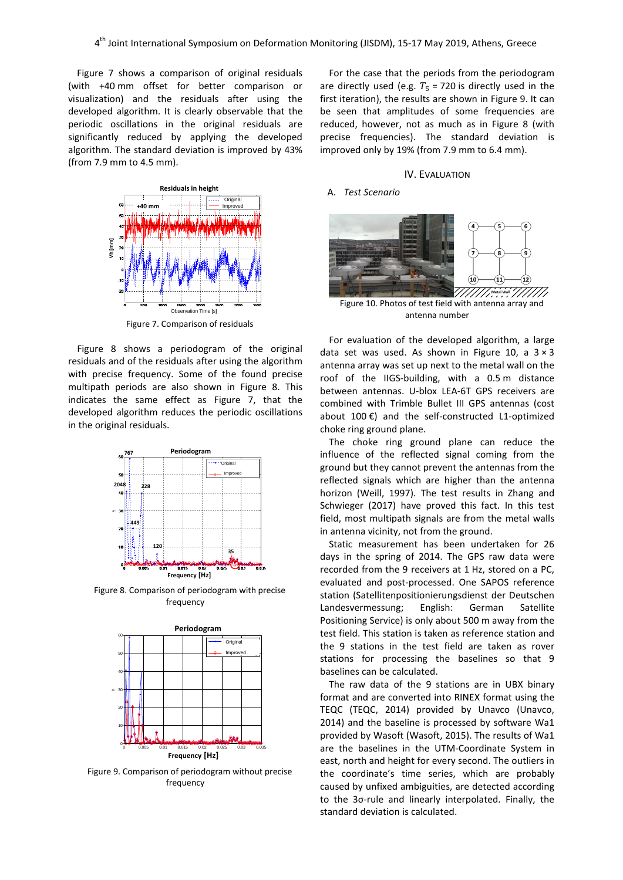Figure 7 shows a comparison of original residuals (with +40 mm offset for better comparison or visualization) and the residuals after using the developed algorithm. It is clearly observable that the periodic oscillations in the original residuals are significantly reduced by applying the developed algorithm. The standard deviation is improved by 43% (from 7.9 mm to 4.5 mm).



Figure 7. Comparison of residuals

Figure 8 shows a periodogram of the original residuals and of the residuals after using the algorithm with precise frequency. Some of the found precise multipath periods are also shown in Figure 8. This indicates the same effect as Figure 7, that the developed algorithm reduces the periodic oscillations in the original residuals.



Figure 8. Comparison of periodogram with precise frequency



Figure 9. Comparison of periodogram without precise frequency

For the case that the periods from the periodogram are directly used (e.g.  $T_5 = 720$  is directly used in the first iteration), the results are shown in Figure 9. It can be seen that amplitudes of some frequencies are reduced, however, not as much as in Figure 8 (with precise frequencies). The standard deviation is improved only by 19% (from 7.9 mm to 6.4 mm).

## IV. EVALUATION

### A. *Test Scenario*



Figure 10. Photos of test field with antenna array and antenna number

For evaluation of the developed algorithm, a large data set was used. As shown in Figure 10, a  $3 \times 3$ antenna array was set up next to the metal wall on the roof of the IIGS-building, with a 0.5 m distance between antennas. U-blox LEA-6T GPS receivers are combined with Trimble Bullet III GPS antennas (cost about 100 €) and the self-constructed L1-optimized choke ring ground plane.

The choke ring ground plane can reduce the influence of the reflected signal coming from the ground but they cannot prevent the antennas from the reflected signals which are higher than the antenna horizon (Weill, 1997). The test results in Zhang and Schwieger (2017) have proved this fact. In this test field, most multipath signals are from the metal walls in antenna vicinity, not from the ground.

Static measurement has been undertaken for 26 days in the spring of 2014. The GPS raw data were recorded from the 9 receivers at 1 Hz, stored on a PC, evaluated and post-processed. One SAPOS reference station (Satellitenpositionierungsdienst der Deutschen Landesvermessung; English: German Satellite Positioning Service) is only about 500 m away from the test field. This station is taken as reference station and the 9 stations in the test field are taken as rover stations for processing the baselines so that 9 baselines can be calculated.

The raw data of the 9 stations are in UBX binary format and are converted into RINEX format using the TEQC (TEQC, 2014) provided by Unavco (Unavco, 2014) and the baseline is processed by software Wa1 provided by Wasoft (Wasoft, 2015). The results of Wa1 are the baselines in the UTM-Coordinate System in east, north and height for every second. The outliers in the coordinate's time series, which are probably caused by unfixed ambiguities, are detected according to the 3σ-rule and linearly interpolated. Finally, the standard deviation is calculated.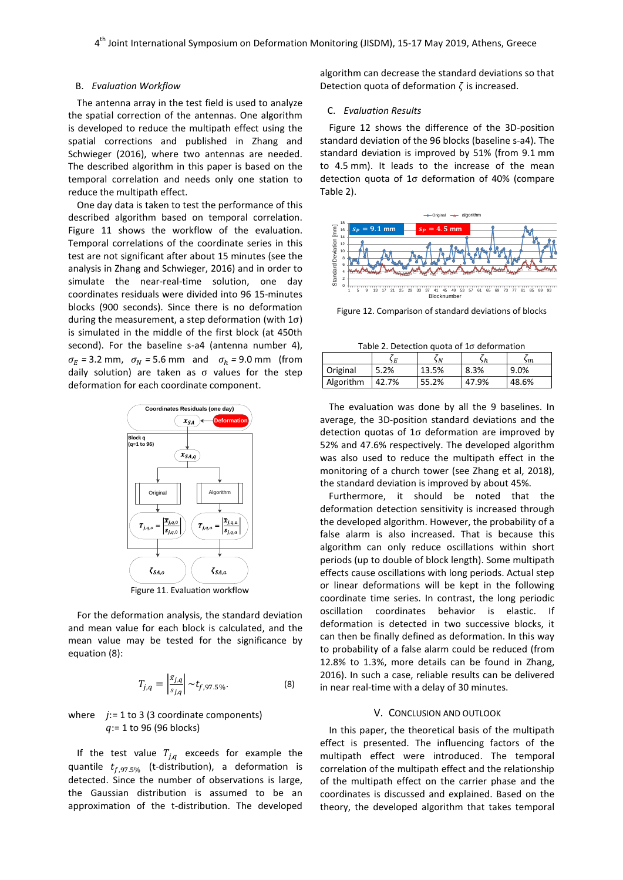## B. *Evaluation Workflow*

The antenna array in the test field is used to analyze the spatial correction of the antennas. One algorithm is developed to reduce the multipath effect using the spatial corrections and published in Zhang and Schwieger (2016), where two antennas are needed. The described algorithm in this paper is based on the temporal correlation and needs only one station to reduce the multipath effect.

One day data is taken to test the performance of this described algorithm based on temporal correlation. Figure 11 shows the workflow of the evaluation. Temporal correlations of the coordinate series in this test are not significant after about 15 minutes (see the analysis in Zhang and Schwieger, 2016) and in order to simulate the near-real-time solution, one day coordinates residuals were divided into 96 15-minutes blocks (900 seconds). Since there is no deformation during the measurement, a step deformation (with  $1\sigma$ ) is simulated in the middle of the first block (at 450th second). For the baseline s-a4 (antenna number 4),  $\sigma_E$  = 3.2 mm,  $\sigma_N$  = 5.6 mm and  $\sigma_h$  = 9.0 mm (from daily solution) are taken as σ values for the step deformation for each coordinate component.



For the deformation analysis, the standard deviation and mean value for each block is calculated, and the mean value may be tested for the significance by equation (8):

$$
T_{j,q} = \left| \frac{\bar{x}_{j,q}}{s_{j,q}} \right| \sim t_{f,97.5\%}.
$$
 (8)

## where  $j := 1$  to 3 (3 coordinate components)  $q:= 1$  to 96 (96 blocks)

If the test value  $T_{j,q}$  exceeds for example the quantile  $t_{f,97.5\%}$  (t-distribution), a deformation is detected. Since the number of observations is large, the Gaussian distribution is assumed to be an approximation of the t-distribution. The developed algorithm can decrease the standard deviations so that Detection quota of deformation  $\zeta$  is increased.

## C. *Evaluation Results*

Figure 12 shows the difference of the 3D-position standard deviation of the 96 blocks (baseline s-a4). The standard deviation is improved by 51% (from 9.1 mm to 4.5 mm). It leads to the increase of the mean detection quota of 1σ deformation of 40% (compare Table 2).



Figure 12. Comparison of standard deviations of blocks

Table 2. Detection quota of 1σ deformation

|           | ٠E    | , N   |       | m     |
|-----------|-------|-------|-------|-------|
| Original  | 5.2%  | 13.5% | 8.3%  | 9.0%  |
| Algorithm | 42.7% | 55.2% | 47.9% | 48.6% |

The evaluation was done by all the 9 baselines. In average, the 3D-position standard deviations and the detection quotas of 1σ deformation are improved by 52% and 47.6% respectively. The developed algorithm was also used to reduce the multipath effect in the monitoring of a church tower (see Zhang et al, 2018), the standard deviation is improved by about 45%.

Furthermore, it should be noted that the deformation detection sensitivity is increased through the developed algorithm. However, the probability of a false alarm is also increased. That is because this algorithm can only reduce oscillations within short periods (up to double of block length). Some multipath effects cause oscillations with long periods. Actual step or linear deformations will be kept in the following coordinate time series. In contrast, the long periodic oscillation coordinates behavior is elastic. If deformation is detected in two successive blocks, it can then be finally defined as deformation. In this way to probability of a false alarm could be reduced (from 12.8% to 1.3%, more details can be found in Zhang, 2016). In such a case, reliable results can be delivered in near real-time with a delay of 30 minutes.

## V. CONCLUSION AND OUTLOOK

In this paper, the theoretical basis of the multipath effect is presented. The influencing factors of the multipath effect were introduced. The temporal correlation of the multipath effect and the relationship of the multipath effect on the carrier phase and the coordinates is discussed and explained. Based on the theory, the developed algorithm that takes temporal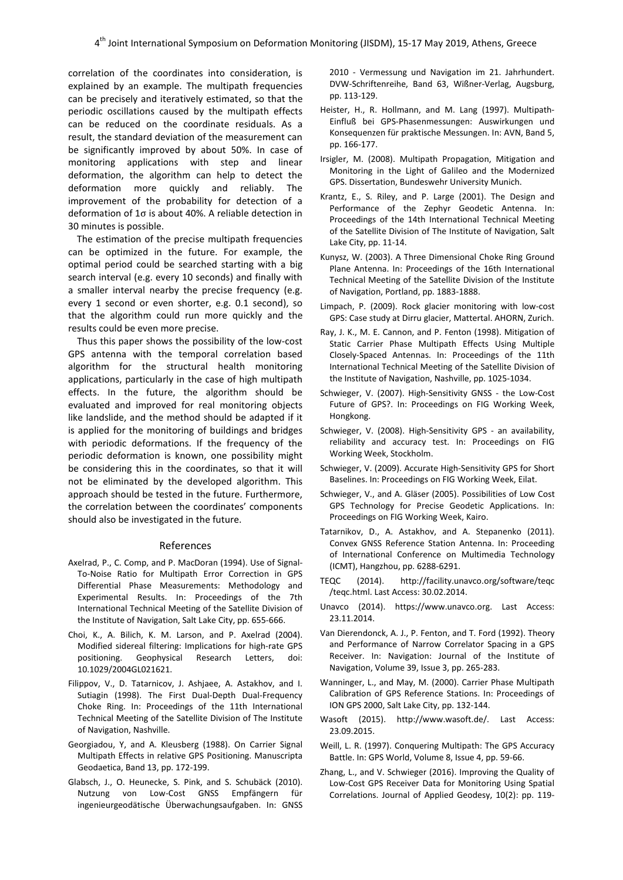correlation of the coordinates into consideration, is explained by an example. The multipath frequencies can be precisely and iteratively estimated, so that the periodic oscillations caused by the multipath effects can be reduced on the coordinate residuals. As a result, the standard deviation of the measurement can be significantly improved by about 50%. In case of monitoring applications with step and linear deformation, the algorithm can help to detect the deformation more quickly and reliably. The improvement of the probability for detection of a deformation of 1σ is about 40%. A reliable detection in 30 minutes is possible.

The estimation of the precise multipath frequencies can be optimized in the future. For example, the optimal period could be searched starting with a big search interval (e.g. every 10 seconds) and finally with a smaller interval nearby the precise frequency (e.g. every 1 second or even shorter, e.g. 0.1 second), so that the algorithm could run more quickly and the results could be even more precise.

Thus this paper shows the possibility of the low-cost GPS antenna with the temporal correlation based algorithm for the structural health monitoring applications, particularly in the case of high multipath effects. In the future, the algorithm should be evaluated and improved for real monitoring objects like landslide, and the method should be adapted if it is applied for the monitoring of buildings and bridges with periodic deformations. If the frequency of the periodic deformation is known, one possibility might be considering this in the coordinates, so that it will not be eliminated by the developed algorithm. This approach should be tested in the future. Furthermore, the correlation between the coordinates' components should also be investigated in the future.

#### References

- Axelrad, P., C. Comp, and P. MacDoran (1994). Use of Signal-To-Noise Ratio for Multipath Error Correction in GPS Differential Phase Measurements: Methodology and Experimental Results. In: Proceedings of the 7th International Technical Meeting of the Satellite Division of the Institute of Navigation, Salt Lake City, pp. 655-666.
- Choi, K., A. Bilich, K. M. Larson, and P. Axelrad (2004). Modified sidereal filtering: Implications for high-rate GPS positioning. Geophysical Research Letters, doi: 10.1029/2004GL021621.
- Filippov, V., D. Tatarnicov, J. Ashjaee, A. Astakhov, and I. Sutiagin (1998). The First Dual-Depth Dual-Frequency Choke Ring. In: Proceedings of the 11th International Technical Meeting of the Satellite Division of The Institute of Navigation, Nashville.
- Georgiadou, Y, and A. Kleusberg (1988). On Carrier Signal Multipath Effects in relative GPS Positioning. Manuscripta Geodaetica, Band 13, pp. 172-199.
- Glabsch, J., O. Heunecke, S. Pink, and S. Schubäck (2010). Nutzung von Low-Cost GNSS Empfängern für ingenieurgeodätische Überwachungsaufgaben. In: GNSS

2010 - Vermessung und Navigation im 21. Jahrhundert. DVW-Schriftenreihe, Band 63, Wißner-Verlag, Augsburg, pp. 113-129.

- Heister, H., R. Hollmann, and M. Lang (1997). Multipath-Einfluß bei GPS-Phasenmessungen: Auswirkungen und Konsequenzen für praktische Messungen. In: AVN, Band 5, pp. 166-177.
- Irsigler, M. (2008). Multipath Propagation, Mitigation and Monitoring in the Light of Galileo and the Modernized GPS. Dissertation, Bundeswehr University Munich.
- Krantz, E., S. Riley, and P. Large (2001). The Design and Performance of the Zephyr Geodetic Antenna. In: Proceedings of the 14th International Technical Meeting of the Satellite Division of The Institute of Navigation, Salt Lake City, pp. 11-14.
- Kunysz, W. (2003). A Three Dimensional Choke Ring Ground Plane Antenna. In: Proceedings of the 16th International Technical Meeting of the Satellite Division of the Institute of Navigation, Portland, pp. 1883-1888.
- Limpach, P. (2009). Rock glacier monitoring with low-cost GPS: Case study at Dirru glacier, Mattertal. AHORN, Zurich.
- Ray, J. K., M. E. Cannon, and P. Fenton (1998). Mitigation of Static Carrier Phase Multipath Effects Using Multiple Closely-Spaced Antennas. In: Proceedings of the 11th International Technical Meeting of the Satellite Division of the Institute of Navigation, Nashville, pp. 1025-1034.
- Schwieger, V. (2007). High-Sensitivity GNSS the Low-Cost Future of GPS?. In: Proceedings on FIG Working Week, Hongkong.
- Schwieger, V. (2008). High-Sensitivity GPS an availability, reliability and accuracy test. In: Proceedings on FIG Working Week, Stockholm.
- Schwieger, V. (2009). Accurate High-Sensitivity GPS for Short Baselines. In: Proceedings on FIG Working Week, Eilat.
- Schwieger, V., and A. Gläser (2005). Possibilities of Low Cost GPS Technology for Precise Geodetic Applications. In: Proceedings on FIG Working Week, Kairo.
- Tatarnikov, D., A. Astakhov, and A. Stepanenko (2011). Convex GNSS Reference Station Antenna. In: Proceeding of International Conference on Multimedia Technology (ICMT), Hangzhou, pp. 6288-6291.
- TEQC (2014). http://facility.unavco.org/software/teqc /teqc.html. Last Access: 30.02.2014.
- Unavco (2014). https://www.unavco.org. Last Access: 23.11.2014.
- Van Dierendonck, A. J., P. Fenton, and T. Ford (1992). Theory and Performance of Narrow Correlator Spacing in a GPS Receiver. In: Navigation: Journal of the Institute of Navigation, Volume 39, Issue 3, pp. 265-283.
- Wanninger, L., and May, M. (2000). Carrier Phase Multipath Calibration of GPS Reference Stations. In: Proceedings of ION GPS 2000, Salt Lake City, pp. 132-144.
- Wasoft (2015). http://www.wasoft.de/. Last Access: 23.09.2015.
- Weill, L. R. (1997). Conquering Multipath: The GPS Accuracy Battle. In: GPS World, Volume 8, Issue 4, pp. 59-66.
- Zhang, L., and V. Schwieger (2016). Improving the Quality of Low-Cost GPS Receiver Data for Monitoring Using Spatial Correlations. Journal of Applied Geodesy, 10(2): pp. 119-